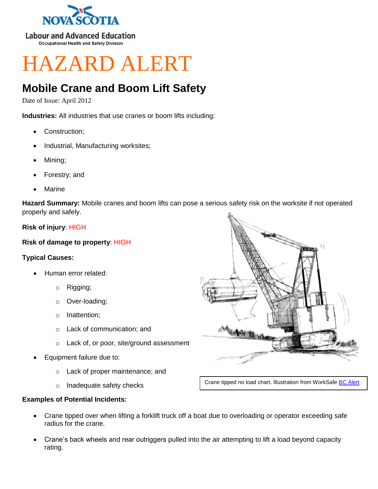

**Labour and Advanced Education Occupational Health and Safety Division** 

# HAZARD ALERT

## **Mobile Crane and Boom Lift Safety**

Date of Issue: April 2012

**Industries:** All industries that use cranes or boom lifts including:

- Construction;
- Industrial, Manufacturing worksites;
- Mining;
- Forestry; and
- Marine

**Hazard Summary:** Mobile cranes and boom lifts can pose a serious safety risk on the worksite if not operated properly and safely.

### **Risk of injury**: HIGH

### **Risk of damage to property**: HIGH

#### **Typical Causes:**

- Human error related:
	- o Rigging;
	- o Over-loading;
	- o Inattention;
	- o Lack of communication; and
	- o Lack of, or poor, site/ground assessment
- Equipment failure due to:
	- o Lack of proper maintenance; and
	- o Inadequate safety checks



Crane tipped no load chart. Illustration from WorkSafe **[BC Alert](http://www2.worksafebc.com/i/posters/1995/fatal9510.html)** 

#### **Examples of Potential Incidents:**

- Crane tipped over when lifting a forklift truck off a boat due to overloading or operator exceeding safe radius for the crane.
- Crane's back wheels and rear outriggers pulled into the air attempting to lift a load beyond capacity rating.